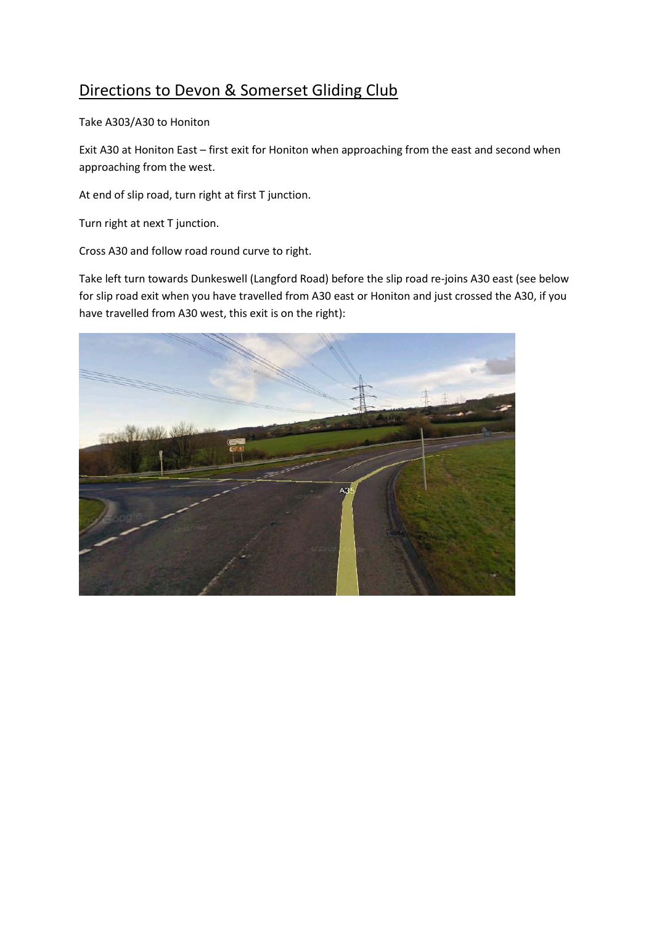## Directions to Devon & Somerset Gliding Club

## Take A303/A30 to Honiton

Exit A30 at Honiton East – first exit for Honiton when approaching from the east and second when approaching from the west.

At end of slip road, turn right at first T junction.

Turn right at next T junction.

Cross A30 and follow road round curve to right.

Take left turn towards Dunkeswell (Langford Road) before the slip road re-joins A30 east (see below for slip road exit when you have travelled from A30 east or Honiton and just crossed the A30, if you have travelled from A30 west, this exit is on the right):

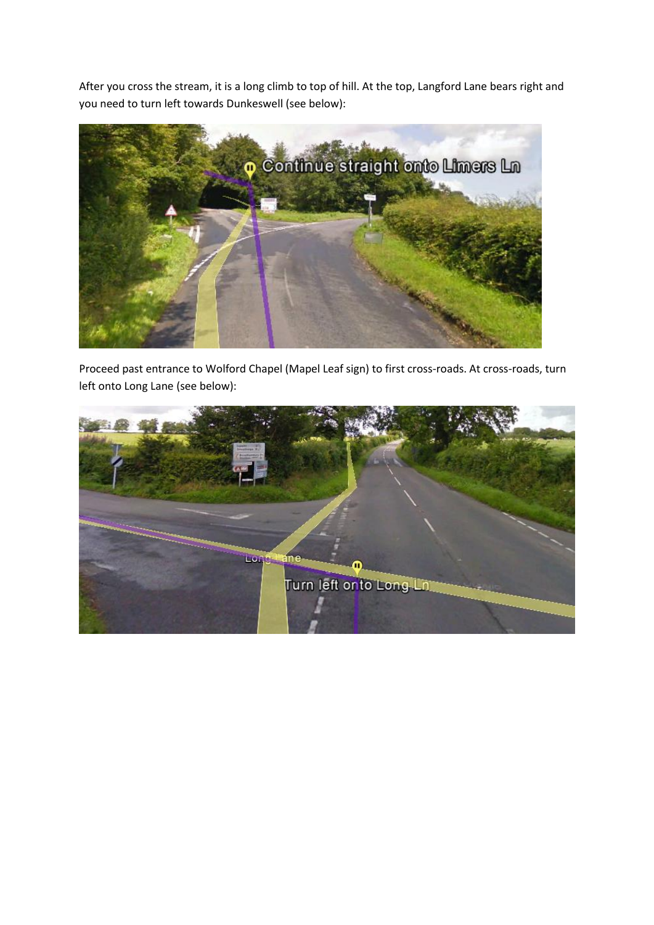After you cross the stream, it is a long climb to top of hill. At the top, Langford Lane bears right and you need to turn left towards Dunkeswell (see below):



Proceed past entrance to Wolford Chapel (Mapel Leaf sign) to first cross-roads. At cross-roads, turn left onto Long Lane (see below):

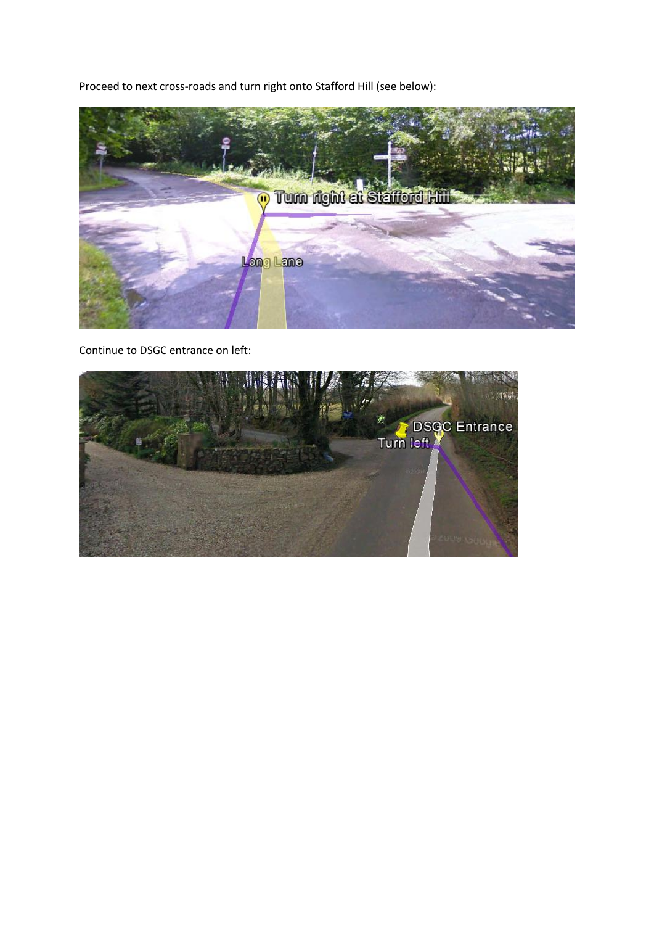Proceed to next cross-roads and turn right onto Stafford Hill (see below):



Continue to DSGC entrance on left:

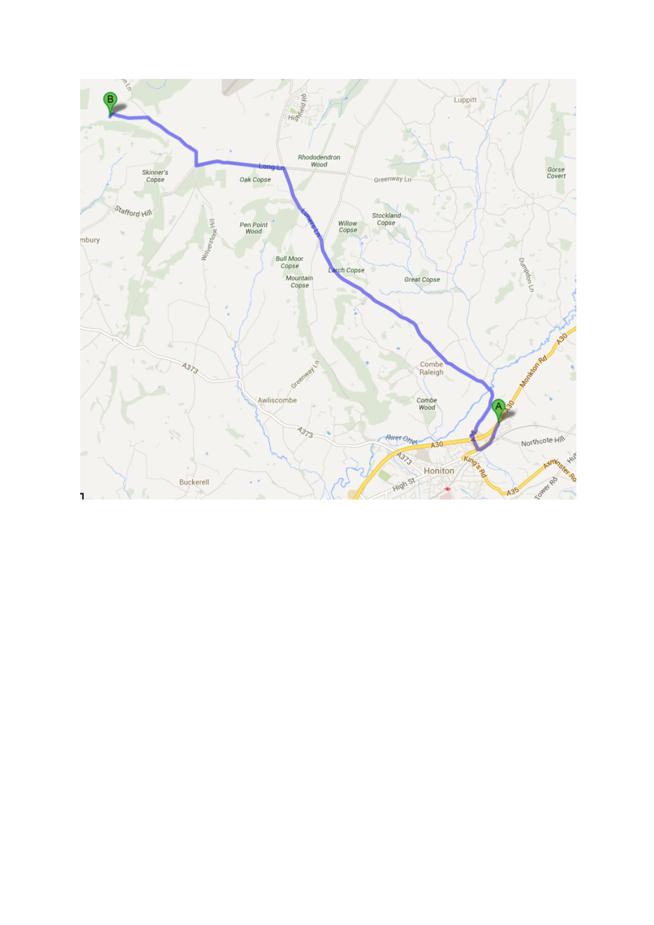